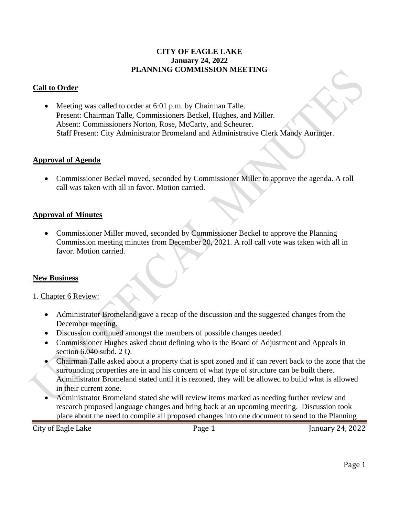### **CITY OF EAGLE LAKE January 24, 2022 PLANNING COMMISSION MEETING**

## **Call to Order**

• Meeting was called to order at 6:01 p.m. by Chairman Talle. Present: Chairman Talle, Commissioners Beckel, Hughes, and Miller. Absent: Commissioners Norton, Rose, McCarty, and Scheurer. Staff Present: City Administrator Bromeland and Administrative Clerk Mandy Auringer.

### **Approval of Agenda**

• Commissioner Beckel moved, seconded by Commissioner Miller to approve the agenda. A roll call was taken with all in favor. Motion carried.

#### **Approval of Minutes**

• Commissioner Miller moved, seconded by Commissioner Beckel to approve the Planning Commission meeting minutes from December 20, 2021. A roll call vote was taken with all in favor. Motion carried.

### **New Business**

#### 1. Chapter 6 Review:

- Administrator Bromeland gave a recap of the discussion and the suggested changes from the December meeting.
- Discussion continued amongst the members of possible changes needed.
- Commissioner Hughes asked about defining who is the Board of Adjustment and Appeals in section 6.040 subd. 2 Q.
- Chairman Talle asked about a property that is spot zoned and if can revert back to the zone that the surrounding properties are in and his concern of what type of structure can be built there. Administrator Bromeland stated until it is rezoned, they will be allowed to build what is allowed in their current zone.
- Administrator Bromeland stated she will review items marked as needing further review and research proposed language changes and bring back at an upcoming meeting. Discussion took place about the need to compile all proposed changes into one document to send to the Planning

City of Eagle Lake **Page 1** Page 1 January 24, 2022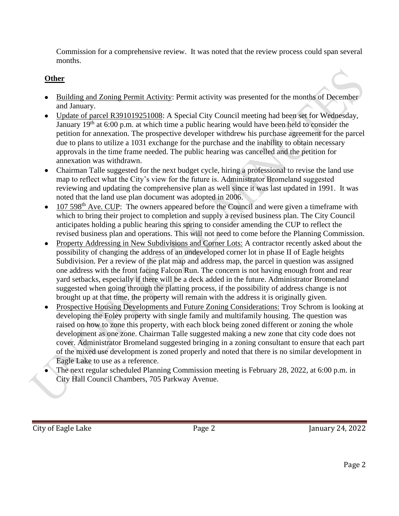Commission for a comprehensive review. It was noted that the review process could span several months.

# **Other**

- Building and Zoning Permit Activity: Permit activity was presented for the months of December and January.
- Update of parcel R391019251008: A Special City Council meeting had been set for Wednesday, January  $19<sup>th</sup>$  at 6:00 p.m. at which time a public hearing would have been held to consider the petition for annexation. The prospective developer withdrew his purchase agreement for the parcel due to plans to utilize a 1031 exchange for the purchase and the inability to obtain necessary approvals in the time frame needed. The public hearing was cancelled and the petition for annexation was withdrawn.
- Chairman Talle suggested for the next budget cycle, hiring a professional to revise the land use map to reflect what the City's view for the future is. Administrator Bromeland suggested reviewing and updating the comprehensive plan as well since it was last updated in 1991. It was noted that the land use plan document was adopted in 2006.
- 107 598<sup>th</sup> Ave. CUP: The owners appeared before the Council and were given a timeframe with which to bring their project to completion and supply a revised business plan. The City Council anticipates holding a public hearing this spring to consider amending the CUP to reflect the revised business plan and operations. This will not need to come before the Planning Commission.
- Property Addressing in New Subdivisions and Corner Lots: A contractor recently asked about the possibility of changing the address of an undeveloped corner lot in phase II of Eagle heights Subdivision. Per a review of the plat map and address map, the parcel in question was assigned one address with the front facing Falcon Run. The concern is not having enough front and rear yard setbacks, especially if there will be a deck added in the future. Administrator Bromeland suggested when going through the platting process, if the possibility of address change is not brought up at that time, the property will remain with the address it is originally given.
- Prospective Housing Developments and Future Zoning Considerations: Troy Schrom is looking at developing the Foley property with single family and multifamily housing. The question was raised on how to zone this property, with each block being zoned different or zoning the whole development as one zone. Chairman Talle suggested making a new zone that city code does not cover. Administrator Bromeland suggested bringing in a zoning consultant to ensure that each part of the mixed use development is zoned properly and noted that there is no similar development in Eagle Lake to use as a reference.
- The next regular scheduled Planning Commission meeting is February 28, 2022, at 6:00 p.m. in City Hall Council Chambers, 705 Parkway Avenue.